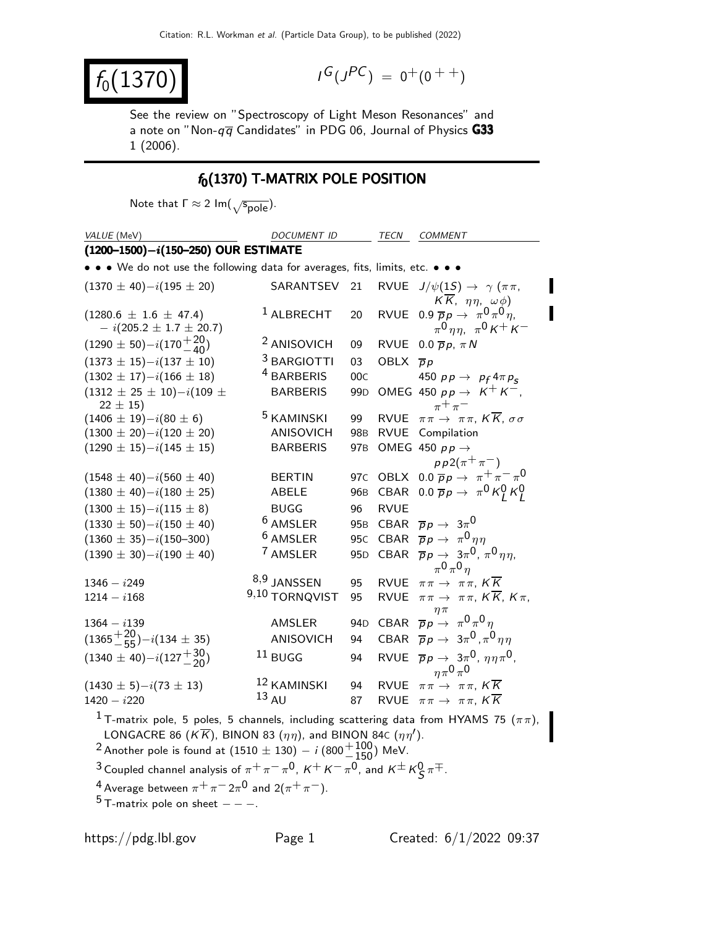$|f_0(1370)|$ 

$$
I^G(J^{PC}) = 0^+(0^{++})
$$

See the review on "Spectroscopy of Light Meson Resonances" and a note on "Non- $q\overline{q}$  Candidates" in PDG 06, Journal of Physics G33 1 (2006).

# $f_0(1370)$  T-MATRIX POLE POSITION

Note that  $\Gamma \approx 2 \text{ Im}(\sqrt{\text{spole}})$ .

| VALUE (MeV)                                                                                                                                                                                                                                                                                                                                                                                             | <b>DOCUMENT ID</b>     |                 | TECN                 | <b>COMMENT</b>                                                                                 |
|---------------------------------------------------------------------------------------------------------------------------------------------------------------------------------------------------------------------------------------------------------------------------------------------------------------------------------------------------------------------------------------------------------|------------------------|-----------------|----------------------|------------------------------------------------------------------------------------------------|
| $(1200-1500)-i(150-250)$ OUR ESTIMATE                                                                                                                                                                                                                                                                                                                                                                   |                        |                 |                      |                                                                                                |
| • • • We do not use the following data for averages, fits, limits, etc. • •                                                                                                                                                                                                                                                                                                                             |                        |                 |                      |                                                                                                |
| $(1370 \pm 40)-i(195 \pm 20)$                                                                                                                                                                                                                                                                                                                                                                           | SARANTSEV              | 21              | <b>RVUE</b>          | $J/\psi(1S) \rightarrow \gamma (\pi \pi,$<br>$K\overline{K}$ , $\eta\eta$ , $\omega\phi$ )     |
| $(1280.6 \pm 1.6 \pm 47.4)$<br>$- i(205.2 \pm 1.7 \pm 20.7)$                                                                                                                                                                                                                                                                                                                                            | $1$ ALBRECHT           | 20              |                      | RVUE 0.9 $\overline{p}p \rightarrow \pi^0 \pi^0 \eta$ ,<br>$\pi^0 \eta \eta$ , $\pi^0 K^+ K^-$ |
| $(1290 \pm 50) - i(170 \frac{+20}{-40})$                                                                                                                                                                                                                                                                                                                                                                | <sup>2</sup> ANISOVICH | 09              |                      | RVUE 0.0 $\overline{p}p$ , $\pi N$                                                             |
| $(1373 \pm 15)-i(137 \pm 10)$                                                                                                                                                                                                                                                                                                                                                                           | <sup>3</sup> BARGIOTTI | 03              | OBLX $\overline{p}p$ |                                                                                                |
| $(1302 \pm 17)-i(166 \pm 18)$                                                                                                                                                                                                                                                                                                                                                                           | <sup>4</sup> BARBERIS  | 00C             |                      | 450 $pp \rightarrow p_f 4 \pi p_s$                                                             |
| $(1312 \pm 25 \pm 10)-i(109 \pm$<br>$22 \pm 15$                                                                                                                                                                                                                                                                                                                                                         | <b>BARBERIS</b>        | 99 <sub>D</sub> |                      | OMEG 450 $pp \rightarrow K^+ K^-$ ,<br>$\pi^+\pi^-$                                            |
| $(1406 \pm 19)-i(80 \pm 6)$                                                                                                                                                                                                                                                                                                                                                                             | <sup>5</sup> KAMINSKI  | 99              | <b>RVUE</b>          | $\pi\pi\to \pi\pi$ , $K\overline{K}$ , $\sigma\sigma$                                          |
| $(1300 \pm 20)-i(120 \pm 20)$                                                                                                                                                                                                                                                                                                                                                                           | ANISOVICH              | 98B             |                      | RVUE Compilation                                                                               |
| $(1290 \pm 15)-i(145 \pm 15)$                                                                                                                                                                                                                                                                                                                                                                           | <b>BARBERIS</b>        | 97 <sub>B</sub> |                      | OMEG 450 $p p \rightarrow$<br>$pp2(\pi^{+}\pi^{-})$                                            |
| $(1548 \pm 40)-i(560 \pm 40)$                                                                                                                                                                                                                                                                                                                                                                           | <b>BERTIN</b>          |                 |                      | 97C OBLX 0.0 $\overline{p}p \rightarrow \pi^+\pi^-\pi^0$                                       |
| $(1380 \pm 40)-i(180 \pm 25)$                                                                                                                                                                                                                                                                                                                                                                           | <b>ABELE</b>           | 96B             |                      | CBAR 0.0 $\overline{p}p \rightarrow \pi^0 K_l^0 K_l^0$                                         |
| $(1300 \pm 15)-i(115 \pm 8)$                                                                                                                                                                                                                                                                                                                                                                            | <b>BUGG</b>            | 96              | <b>RVUE</b>          |                                                                                                |
| $(1330 \pm 50)-i(150 \pm 40)$                                                                                                                                                                                                                                                                                                                                                                           | $6$ AMSLER             | 95 <sub>B</sub> |                      | CBAR $\overline{p}p \rightarrow 3\pi^0$                                                        |
| $(1360 \pm 35)-i(150-300)$                                                                                                                                                                                                                                                                                                                                                                              | <sup>6</sup> AMSLER    | 95 <sub>C</sub> |                      | CBAR $\overline{p}p \to \pi^0 \eta \eta$                                                       |
| $(1390 \pm 30)-i(190 \pm 40)$                                                                                                                                                                                                                                                                                                                                                                           | <sup>7</sup> AMSLER    | 95 <sub>D</sub> |                      | CBAR $\bar{p}p \to 3\pi^0$ , $\pi^0 \eta \eta$ ,<br>$\pi^0 \pi^0 \eta$                         |
| $1346 - i249$                                                                                                                                                                                                                                                                                                                                                                                           | 8,9 JANSSEN            | 95              |                      | RVUE $\pi \pi \to \pi \pi$ , $K \overline{K}$                                                  |
| $1214 - i168$                                                                                                                                                                                                                                                                                                                                                                                           | 9,10 TORNQVIST         | 95              | <b>RVUE</b>          | $\pi\pi\to \pi\pi$ , $K\overline{K}$ , $K\pi$ ,<br>$\eta\pi$                                   |
| $1364 - i139$                                                                                                                                                                                                                                                                                                                                                                                           | AMSLER                 | 94 <sub>D</sub> |                      | CBAR $\overline{p}p \rightarrow \pi^0 \pi^0 \eta$                                              |
| $(1365 + \frac{20}{55}) - i(134 \pm 35)$                                                                                                                                                                                                                                                                                                                                                                | ANISOVICH              | 94              |                      | CBAR $\overline{p}p \rightarrow 3\pi^0, \pi^0 n n$                                             |
| $(1340 \pm 40) - i(127 + \frac{30}{20})$                                                                                                                                                                                                                                                                                                                                                                | $^{11}$ BUGG           | 94              |                      | RVUE $\bar{p}p \rightarrow 3\pi^0$ , $\eta \eta \pi^0$ ,<br>$\eta \pi^0 \pi^0$                 |
| $(1430 \pm 5)-i(73 \pm 13)$                                                                                                                                                                                                                                                                                                                                                                             | <sup>12</sup> KAMINSKI | 94              | <b>RVUE</b>          | $\pi \pi \rightarrow \pi \pi$ , $K \overline{K}$                                               |
| $1420 - i220$                                                                                                                                                                                                                                                                                                                                                                                           | $13$ AU                | 87              | <b>RVUE</b>          | $\pi\pi \to \pi\pi$ , $K\overline{K}$                                                          |
| <sup>1</sup> T-matrix pole, 5 poles, 5 channels, including scattering data from HYAMS 75 ( $\pi\pi$ ),<br>LONGACRE 86 ( $K\overline{K}$ ), BINON 83 ( $\eta\eta$ ), and BINON 84c ( $\eta\eta'$ ).<br><sup>2</sup> Another pole is found at $(1510 \pm 130) - i (800^{+100}_{-150})$ MeV.<br><sup>3</sup> Coupled channel analysis of $\pi^+\pi^-\pi^0$ , $K^+K^-\pi^0$ , and $K^{\pm}K^0_S\pi^{\mp}$ . |                        |                 |                      |                                                                                                |
|                                                                                                                                                                                                                                                                                                                                                                                                         |                        |                 |                      |                                                                                                |

 $^4$  Average between  $\pi^+\pi^ 2\pi^0$  and  $2(\pi^+\pi^-)$ .

 $5$  T-matrix pole on sheet  $- - -$ .

П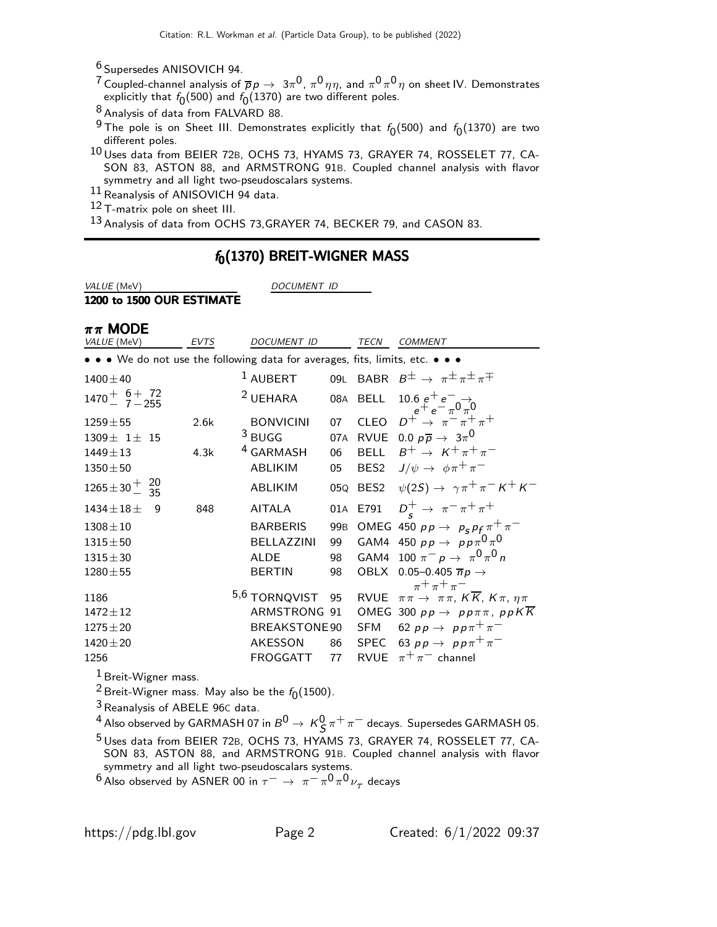6 Supersedes ANISOVICH 94.

 $^7$ Coupled-channel analysis of  $\overline{p} \rho \to~3\pi^0$ ,  $\pi^0 \eta \eta,$  and  $\pi^0 \pi^0 \eta$  on sheet IV. Demonstrates explicitly that  $f_{\mathbf{0}}(500)$  and  $f_{\mathbf{0}}(1370)$  are two different poles.

8 Analysis of data from FALVARD 88.

<sup>9</sup> The pole is on Sheet III. Demonstrates explicitly that  $f_0(500)$  and  $f_0(1370)$  are two different poles.

10 Uses data from BEIER 72B, OCHS 73, HYAMS 73, GRAYER 74, ROSSELET 77, CA-SON 83, ASTON 88, and ARMSTRONG 91B. Coupled channel analysis with flavor symmetry and all light two-pseudoscalars systems.

 $11$  Reanalysis of ANISOVICH 94 data.

12 T-matrix pole on sheet III.

13 Analysis of data from OCHS 73, GRAYER 74, BECKER 79, and CASON 83.

### $f_0(1370)$  BREIT-WIGNER MASS

VALUE (MeV) DOCUMENT ID

1200 to 1500 OUR ESTIMATE

| $\pi\pi$ MODE                                                                 |             |                      |                 |                  |                                                                                                     |
|-------------------------------------------------------------------------------|-------------|----------------------|-----------------|------------------|-----------------------------------------------------------------------------------------------------|
| VALUE (MeV)                                                                   | <b>EVTS</b> | <b>DOCUMENT ID</b>   |                 | TECN             | <b>COMMENT</b>                                                                                      |
| • • • We do not use the following data for averages, fits, limits, etc. • • • |             |                      |                 |                  |                                                                                                     |
| $1400 \pm 40$                                                                 |             | $^1$ AUBERT          |                 |                  | 09L BABR $B^{\pm} \rightarrow \pi^{\pm} \pi^{\pm} \pi^{\mp}$                                        |
| $1470 + 6 + 72$<br>$7 - 255$                                                  |             | <sup>2</sup> UEHARA  |                 | 08A BELL         | $\begin{array}{c} 10.6\ e^+e^-\rightarrow\\ e^+e^-\pi^0\pi^0\\ D^+\to\ \pi^-\pi^+\pi^+ \end{array}$ |
| $1259 \pm 55$                                                                 | 2.6k        | <b>BONVICINI</b>     | 07              | <b>CLEO</b>      |                                                                                                     |
| $1309 \pm 1 \pm 15$                                                           |             | $3$ BUGG             |                 |                  | 07A RVUE 0.0 $p\overline{p} \rightarrow 3\pi^0$                                                     |
| $1449 \pm 13$                                                                 | 4.3k        | <sup>4</sup> GARMASH | 06              | BELL             | $B^+ \rightarrow K^+ \pi^+ \pi^-$                                                                   |
| $1350 \pm 50$                                                                 |             | <b>ABLIKIM</b>       | 05              | BES <sub>2</sub> | $J/\psi \rightarrow \phi \pi^+ \pi^-$                                                               |
| $1265 \pm 30 \frac{+}{-}$ $\frac{20}{35}$                                     |             | ABLIKIM              |                 |                  | 05Q BES2 $\psi(2S) \to \gamma \pi^+ \pi^- K^+ K^-$                                                  |
| $1434 \pm 18 \pm 1$<br>9                                                      | 848         | <b>AITALA</b>        |                 | 01A E791         | $D_s^+ \rightarrow \pi^- \pi^+ \pi^+$                                                               |
| $1308 \pm 10$                                                                 |             | <b>BARBERIS</b>      | 99 <sub>B</sub> |                  | OMEG 450 $pp \rightarrow p_s p_f \pi^+ \pi^-$                                                       |
| $1315 \pm 50$                                                                 |             | <b>BELLAZZINI</b>    | 99              |                  | GAM4 450 $pp \rightarrow pp \pi^0 \pi^0$                                                            |
| $1315 \pm 30$                                                                 |             | <b>ALDE</b>          | 98              |                  | GAM4 100 $\pi^- p \to \pi^0 \pi^0 n$                                                                |
| $1280 \pm 55$                                                                 |             | <b>BERTIN</b>        | 98              |                  | OBLX 0.05-0.405 $\overline{n}p \rightarrow$                                                         |
| 1186                                                                          |             | 5,6 TORNQVIST        | 95              |                  | $\pi$ + $\pi$ + $\pi$ -<br>RVUE $\pi\pi \to \pi\pi$ , $K\overline{K}$ , $K\pi$ , $\eta\pi$          |
| $1472 \pm 12$                                                                 |             | ARMSTRONG 91         |                 |                  | OMEG 300 $pp \rightarrow pp \pi \pi$ , ppKK                                                         |
| $1275 \pm 20$                                                                 |             | BREAKSTONE 90        |                 |                  | SFM 62 $pp \rightarrow pp \pi^+ \pi^-$                                                              |
| $1420 \pm 20$                                                                 |             | AKESSON              | 86              |                  | SPEC 63 $pp \rightarrow pp\pi^{+}\pi^{-}$                                                           |
| 1256                                                                          |             | <b>FROGGATT</b>      | 77              | <b>RVUE</b>      | $\pi^+\pi^-$ channel                                                                                |
| 1.                                                                            |             |                      |                 |                  |                                                                                                     |

<sup>1</sup> Breit-Wigner mass.

<sup>2</sup> Breit-Wigner mass. May also be the  $f_0(1500)$ .

3Reanalysis of ABELE 96<sup>C</sup> data.

 $^4$  Also observed by GARMASH 07 in  $B^0\to \,{\sf K}^0_S\,\pi^+\,\pi^-$  decays. Supersedes GARMASH 05. <sup>5</sup> Uses data from BEIER 72B, OCHS 73, HYAMS 73, GRAYER 74, ROSSELET 77, CA-SON 83, ASTON 88, and ARMSTRONG 91B. Coupled channel analysis with flavor

symmetry and all light two-pseudoscalars systems.

<sup>6</sup> Also observed by ASNER 00 in  $\tau^- \to \pi^- \pi^0 \pi^0 \nu_\tau$  decays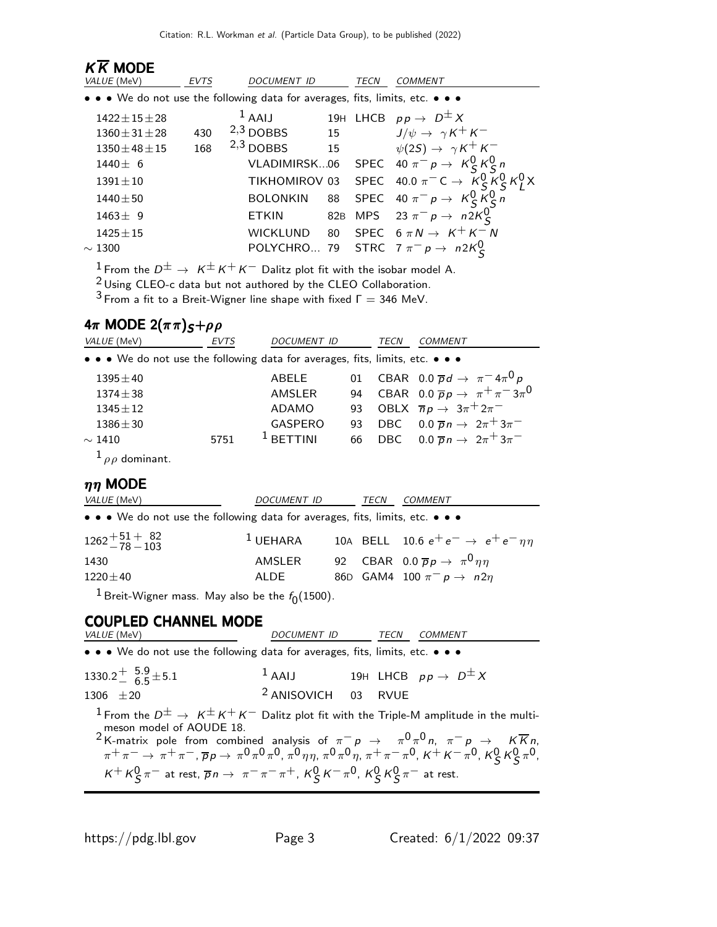| VALUE (MeV)<br>DOCUMENT ID<br>TECN<br><b>EVTS</b><br><i>COMMENT</i><br>• • • We do not use the following data for averages, fits, limits, etc. • • • |  |
|------------------------------------------------------------------------------------------------------------------------------------------------------|--|
|                                                                                                                                                      |  |
|                                                                                                                                                      |  |
| 19H LHCB $pp \rightarrow D^{\pm} X$<br>$1$ AAIJ<br>$1422 \pm 15 \pm 28$                                                                              |  |
| $J/\psi \rightarrow \gamma K^+ K^-$<br>$2,3$ DOBBS<br>15<br>430<br>$1360 \pm 31 \pm 28$                                                              |  |
| 15<br>$\psi(2S) \rightarrow \gamma K^+ K^-$<br>$2,3$ DOBBS<br>168<br>$1350 \pm 48 \pm 15$                                                            |  |
| SPEC 40 $\pi^- p \to K^0_S K^0_S n$<br>VLADIMIRSK06<br>$1440 \pm 6$                                                                                  |  |
| SPEC 40.0 $\pi^{-}C \rightarrow K_{S}^{0}K_{S}^{0}K_{I}^{0}X$<br>TIKHOMIROV 03<br>$1391 \pm 10$                                                      |  |
| SPEC 40 $\pi^- p \rightarrow K_S^0 K_S^0 n$<br><b>BOLONKIN</b><br>$1440 \pm 50$<br>88                                                                |  |
| MPS 23 $\pi^- p \rightarrow n2K_S^0$<br><b>ETKIN</b><br>82B<br>$1463 \pm 9$                                                                          |  |
| 80 SPEC $6 \pi N \rightarrow K^+ K^- N$<br><b>WICKLUND</b><br>$1425 \pm 15$                                                                          |  |
| POLYCHRO 79 STRC $7 \pi^{-} p \rightarrow n2K_{S}^{U}$<br>$\sim1300$                                                                                 |  |

<sup>1</sup> From the  $D^{\pm} \rightarrow K^{\pm} K^{+} K^{-}$  Dalitz plot fit with the isobar model A.

2 Using CLEO-c data but not authored by the CLEO Collaboration.

 $3$  From a fit to a Breit-Wigner line shape with fixed  $\Gamma = 346$  MeV.

## 4π MODE 2( $\pi \pi$ ) $S+\rho \rho$

| VALUE (MeV)                                                                   | <b>EVTS</b> | DOCUMENT ID    |    | TECN | COMMENT                                               |
|-------------------------------------------------------------------------------|-------------|----------------|----|------|-------------------------------------------------------|
| • • • We do not use the following data for averages, fits, limits, etc. • • • |             |                |    |      |                                                       |
| $1395 \pm 40$                                                                 |             | ABELE          | 01 |      | CBAR 0.0 $\overline{p}d \rightarrow \pi^{-}4\pi^{0}p$ |
| $1374 \pm 38$                                                                 |             | AMSLER         |    |      | 94 CBAR 0.0 $\bar{p}p \to \pi^+\pi^-3\pi^0$           |
| $1345 \pm 12$                                                                 |             | ADAMO          | 93 |      | OBLX $\overline{n}p \rightarrow 3\pi^+2\pi^-$         |
| $1386 \pm 30$                                                                 |             | <b>GASPERO</b> | 93 |      | DBC $0.0 \overline{p} n \rightarrow 2\pi + 3\pi$      |
| $\sim$ 1410                                                                   | 5751        | $1$ BETTINI    | 66 |      | DBC $0.0 \overline{p} n \rightarrow 2\pi + 3\pi$      |
| $\frac{1}{\rho}$ dominant.                                                    |             |                |    |      |                                                       |
| $nn$ MODE                                                                     |             |                |    |      |                                                       |

| <i>VALUE</i> (MeV)                                                            | DOCUMENT ID | TECN | <i>COMMENT</i>                                          |
|-------------------------------------------------------------------------------|-------------|------|---------------------------------------------------------|
| • • • We do not use the following data for averages, fits, limits, etc. • • • |             |      |                                                         |
| $1262 + 51 + 82$<br>$-78 - 103$                                               | $^1$ UEHARA |      | 10A BELL 10.6 $e^+e^- \rightarrow e^+e^-\eta\eta$       |
| 1430                                                                          | AMSLER      |      | 92 CBAR 0.0 $\overline{p}p \rightarrow \pi^0 \eta \eta$ |
| $1220 \pm 40$                                                                 | ALDE        |      | 86D GAM4 100 $\pi^- p \to n 2\eta$                      |
|                                                                               |             |      |                                                         |

 $^1$ Breit-Wigner mass. May also be the  $f_{\rm 0}(1500)$ .

# **COUPLED CHANNEL MODE**<br>*VALUE* (MeV)

### DOCUMENT ID TECN COMMENT • • • We do not use the following data for averages, fits, limits, etc. • • •  $1330.2 + \frac{5.9}{6.5}$  $5.5 + 5.1$  $1$  AAIJ 19H LHCB  $pp \rightarrow D^{\pm} X$  $1306 \pm 20$  2 ANISOVICH 03 RVUE <sup>1</sup> From the  $D^{\pm} \rightarrow K^{\pm} K^+ K^-$  Dalitz plot fit with the Triple-M amplitude in the multimeson model of AOUDE 18.<br><sup>2</sup> K-matrix pole from combined analysis of  $\pi^- p \to \pi^0 \pi^0 n$ ,  $\pi^- p \to \kappa \overline{K} n$ ,  $\pi^+\pi^-\to\pi^+\pi^-$  ,  $\overline{p}_{\cal P}\to\ \pi^0\pi^0\pi^0$  ,  $\pi^0\eta\eta$  ,  $\pi^0\pi^0\eta$  ,  $\pi^+\pi^-\pi^0$  ,  $\kappa^+$   $\kappa^-\pi^0$  ,  $\kappa^0_S\,\kappa^0_S\pi^0$  ,  $K^+ K^0_S \pi^-$  at rest,  $\overline{p}n \to \pi^- \pi^- \pi^+$ ,  $K^0_S K^- \pi^0$ ,  $K^0_S K^0_S \pi^-$  at rest.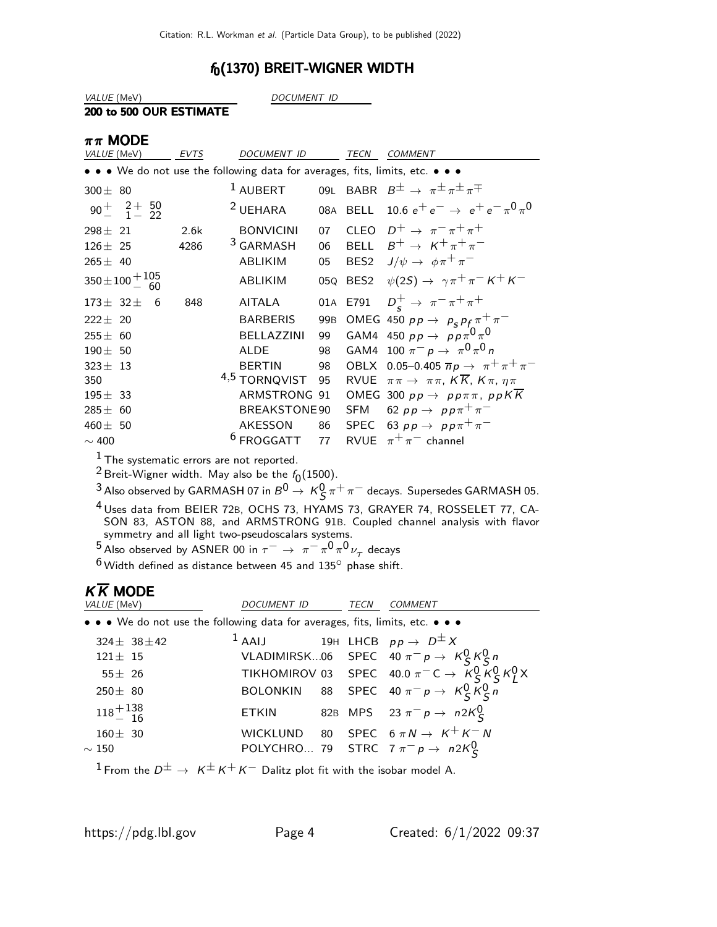### $f_0(1370)$  BREIT-WIGNER WIDTH

VALUE (MeV) DOCUMENT ID

#### 200 to 500 OUR ESTIMATE

| $\pi\pi$ MODE |  |
|---------------|--|
|               |  |

| VALUE (MeV)                    |   | <b>EVTS</b> | DOCUMENT ID                                                                   |                 | <b>TECN</b>      | <b>COMMENT</b>                                                       |
|--------------------------------|---|-------------|-------------------------------------------------------------------------------|-----------------|------------------|----------------------------------------------------------------------|
|                                |   |             | • • • We do not use the following data for averages, fits, limits, etc. • • • |                 |                  |                                                                      |
| $300\pm$ 80                    |   |             | $1$ AUBERT                                                                    |                 |                  | 09L BABR $B^{\pm} \rightarrow \pi^{\pm} \pi^{\pm} \pi^{\mp}$         |
| $90^{+}$ $^{2+}$ 50            |   |             | <sup>2</sup> UEHARA                                                           |                 |                  | 08A BELL 10.6 $e^+e^- \rightarrow e^+e^- \pi^0 \pi^0$                |
| $298 \pm 21$                   |   | 2.6k        | <b>BONVICINI</b>                                                              | 07              |                  | CLEO $D^+ \rightarrow \pi^- \pi^+ \pi^+$                             |
| $126 \pm 25$                   |   | 4286        | <sup>3</sup> GARMASH                                                          | 06              |                  | BELL $B^+ \rightarrow K^+ \pi^+ \pi^-$                               |
| $265 \pm 40$                   |   |             | <b>ABLIKIM</b>                                                                | 05              | BES <sub>2</sub> | $J/\psi \rightarrow \phi \pi^+ \pi^-$                                |
| $350 \pm 100 + \frac{105}{60}$ |   |             | ABLIKIM                                                                       | 05Q             |                  | BES2 $\psi(2S) \rightarrow \gamma \pi^+ \pi^- K^+ K^-$               |
| $173\pm 32\pm$                 | 6 | 848         | AITALA                                                                        |                 |                  | 01A E791 $D_s^+ \to \pi^- \pi^+ \pi^+$                               |
| $222 \pm 20$                   |   |             | <b>BARBERIS</b>                                                               | 99 <sub>B</sub> |                  | OMEG 450 $pp \rightarrow p_s p_f \pi^+ \pi^-$                        |
| $255\pm\phantom{0}60$          |   |             | BELLAZZINI                                                                    | 99              |                  | GAM4 450 $pp \rightarrow pp \pi^0 \pi^0$                             |
| $190 \pm 50$                   |   |             | <b>ALDE</b>                                                                   | 98              |                  | GAM4 100 $\pi^- p \to \pi^0 \pi^0 n$                                 |
| $323 \pm 13$                   |   |             | <b>BERTIN</b>                                                                 | 98              |                  | OBLX 0.05-0.405 $\overline{n}p \to \pi^+\pi^+\pi^-$                  |
| 350                            |   |             | 4,5 TORNQVIST                                                                 | 95              |                  | RVUE $\pi \pi \to \pi \pi$ , $K \overline{K}$ , $K \pi$ , $\eta \pi$ |
| $195\pm$ 33                    |   |             | ARMSTRONG 91                                                                  |                 |                  | OMEG 300 $pp \rightarrow pp \pi \pi$ , ppKK                          |
| $285 \pm 60$                   |   |             | BREAKSTONE 90                                                                 |                 |                  | SFM 62 $pp \rightarrow pp \pi^+ \pi^-$                               |
| 460 $\pm$ 50                   |   |             | AKESSON                                                                       | 86              |                  | SPEC 63 $pp \rightarrow pp\pi^{+}\pi^{-}$                            |
| $\sim$ 400                     |   |             | <b>FROGGATT</b>                                                               | 77              |                  | RVUE $\pi^+\pi^-$ channel                                            |
|                                |   |             |                                                                               |                 |                  |                                                                      |

 $<sup>1</sup>$  The systematic errors are not reported.</sup>

<sup>2</sup> Breit-Wigner width. May also be the  $f_0(1500)$ .

 $^3$  Also observed by GARMASH 07 in  $B^0 \to K_S^0 \pi^+ \pi^-$  decays. Supersedes GARMASH 05.

4 Uses data from BEIER 72B, OCHS 73, HYAMS 73, GRAYER 74, ROSSELET 77, CA-SON 83, ASTON 88, and ARMSTRONG 91B. Coupled channel analysis with flavor symmetry and all light two-pseudoscalars systems.

<sup>5</sup> Also observed by ASNER 00 in  $\tau^-$  →  $\pi^- \pi^0 \pi^0 \nu_\tau$  decays

 $^6$  Width defined as distance between 45 and 135 $^{\circ}$  phase shift.

# $K\overline{K}$  MODE

| VALUE (MeV)                                                                   | <i>DOCUMENT ID</i>                                    | TECN | COMMENT                                                                                                                       |
|-------------------------------------------------------------------------------|-------------------------------------------------------|------|-------------------------------------------------------------------------------------------------------------------------------|
| • • • We do not use the following data for averages, fits, limits, etc. • • • |                                                       |      |                                                                                                                               |
| $324 \pm 38 \pm 42$                                                           | <sup>1</sup> AAIJ 19H LHCB $pp \rightarrow D^{\pm} X$ |      |                                                                                                                               |
| $121 \pm 15$                                                                  |                                                       |      |                                                                                                                               |
| $55 \pm 26$                                                                   |                                                       |      | VLADIMIRSK06 SPEC $40 \pi^- p \rightarrow K_S^0 K_S^0 n$<br>TIKHOMIROV 03 SPEC $40.0 \pi^- C \rightarrow K_S^0 K_S^0 K_L^0 X$ |
| $250 \pm 80$                                                                  |                                                       |      | BOLONKIN 88 SPEC 40 $\pi^- p \to K^0_S \overline{K^0_S} \overline{n}$                                                         |
| $118 + {138 \over 16}$                                                        |                                                       |      | ETKIN 82B MPS 23 $\pi^- p \to n2K^0_S$                                                                                        |
| $160 \pm 30$                                                                  |                                                       |      | WICKLUND 80 SPEC $6 \pi N \rightarrow K^+ K^- N$                                                                              |
| $\sim 150$                                                                    |                                                       |      | POLYCHRO 79 STRC $7 \pi^{-} p \rightarrow n 2K_{S}^{0}$                                                                       |

<sup>1</sup> From the  $D^{\pm} \rightarrow K^{\pm} K^+ K^-$  Dalitz plot fit with the isobar model A.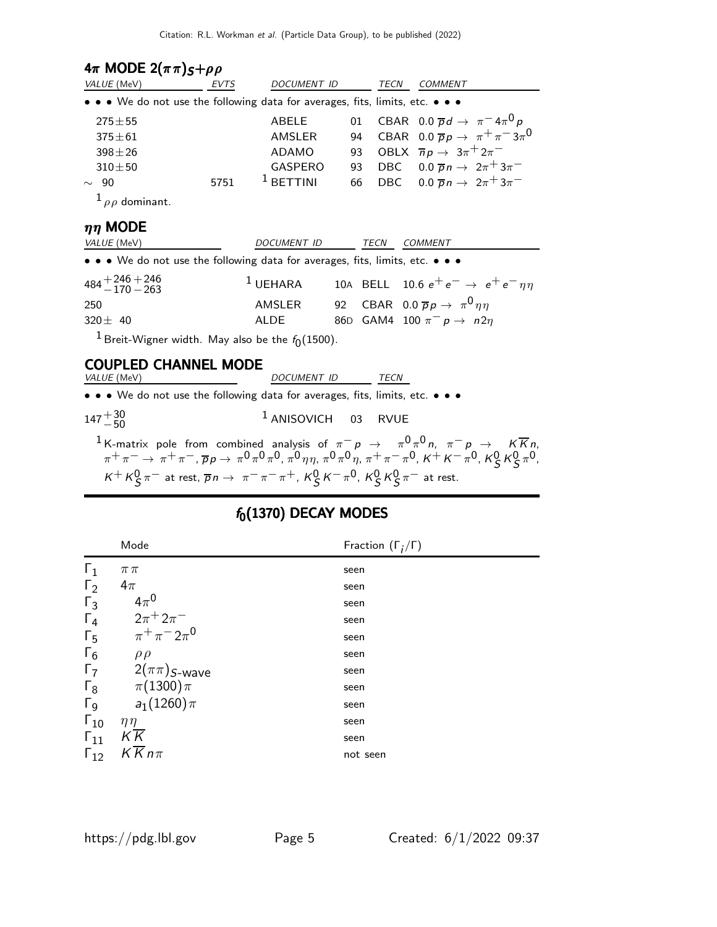| $4\pi$ MODE $2(\pi \pi)_{S} + \rho \rho$                                                                            |      |                    |    |             |                                                                                                                                                                                                                                                                                     |
|---------------------------------------------------------------------------------------------------------------------|------|--------------------|----|-------------|-------------------------------------------------------------------------------------------------------------------------------------------------------------------------------------------------------------------------------------------------------------------------------------|
| VALUE (MeV)                                                                                                         | EVTS | DOCUMENT ID        |    | TECN        | <b>COMMENT</b>                                                                                                                                                                                                                                                                      |
| • • • We do not use the following data for averages, fits, limits, etc. • • •                                       |      |                    |    |             |                                                                                                                                                                                                                                                                                     |
| $275 + 55$                                                                                                          |      | ABELE              | 01 |             | CBAR 0.0 $\overline{p}d \rightarrow \pi^{-}4\pi^{0}p$                                                                                                                                                                                                                               |
| $375 + 61$                                                                                                          |      | AMSLER             | 94 |             | CBAR 0.0 $\overline{p}p \rightarrow \pi^+\pi^-3\pi^0$                                                                                                                                                                                                                               |
| $398 \pm 26$                                                                                                        |      | <b>ADAMO</b>       | 93 |             | OBLX $\overline{n}p \rightarrow 3\pi^+2\pi^-$                                                                                                                                                                                                                                       |
| $310 + 50$                                                                                                          |      | GASPERO            | 93 |             | DBC $0.0 \overline{p} n \rightarrow 2\pi + 3\pi$                                                                                                                                                                                                                                    |
| $\sim$ 90                                                                                                           | 5751 | $1$ BETTINI        | 66 |             | DBC $0.0 \overline{p} n \rightarrow 2\pi + 3\pi$                                                                                                                                                                                                                                    |
| $^{1}$ $\rho$ dominant.                                                                                             |      |                    |    |             |                                                                                                                                                                                                                                                                                     |
| $\eta\eta$ MODE                                                                                                     |      |                    |    |             |                                                                                                                                                                                                                                                                                     |
| VALUE (MeV)                                                                                                         |      | <b>DOCUMENT ID</b> |    | <b>TECN</b> | <b>COMMENT</b>                                                                                                                                                                                                                                                                      |
| • • • We do not use the following data for averages, fits, limits, etc. • • •                                       |      |                    |    |             |                                                                                                                                                                                                                                                                                     |
| $484 + 246 + 246$<br>- 170 – 263                                                                                    |      | $1$ UEHARA         |    |             | 10A BELL 10.6 $e^+e^- \rightarrow\ e^+e^-\eta\eta$                                                                                                                                                                                                                                  |
| 250                                                                                                                 |      | AMSLER             |    |             | 92 CBAR 0.0 $\overline{p}p \rightarrow \pi^0 \eta \eta$                                                                                                                                                                                                                             |
| $320 \pm 40$                                                                                                        |      | <b>ALDE</b>        |    |             | 86D GAM4 100 $\pi^- p \rightarrow n2\eta$                                                                                                                                                                                                                                           |
| <sup>1</sup> Breit-Wigner width. May also be the $f_0(1500)$ .                                                      |      |                    |    |             |                                                                                                                                                                                                                                                                                     |
| <b>COUPLED CHANNEL MODE</b>                                                                                         |      |                    |    |             |                                                                                                                                                                                                                                                                                     |
| VALUE (MeV)                                                                                                         |      | DOCUMENT ID        |    | TECN        |                                                                                                                                                                                                                                                                                     |
| • • • We do not use the following data for averages, fits, limits, etc. • • •                                       |      |                    |    |             |                                                                                                                                                                                                                                                                                     |
| $147^{+30}_{-50}$                                                                                                   |      | $1$ ANISOVICH 03   |    | <b>RVUE</b> |                                                                                                                                                                                                                                                                                     |
| $K^+ K^0_S \pi^-$ at rest, $\overline{p}n \to \pi^- \pi^- \pi^+$ , $K^0_S K^- \pi^0$ , $K^0_S K^0_S \pi^-$ at rest. |      |                    |    |             | <sup>1</sup> K-matrix pole from combined analysis of $\pi^- p \to \pi^0 \pi^0 n$ , $\pi^- p \to K \overline{K} n$ ,<br>$\pi^+ \pi^- \to \pi^+ \pi^-, \overline{p} p \to \pi^0 \pi^0 \pi^0, \pi^0 \eta \eta, \pi^0 \pi^0 \eta, \pi^+ \pi^- \pi^0, K^+ K^- \pi^0, K^0_S K^0_S \pi^0,$ |

# $f_0(1370)$  DECAY MODES

|                       | Mode                                    | Fraction $(\Gamma_i/\Gamma)$ |
|-----------------------|-----------------------------------------|------------------------------|
| $\Gamma_1$            | $\pi\pi$                                | seen                         |
| $\Gamma_2$            | $4\pi$                                  | seen                         |
| $\Gamma_3$            | $4\pi^0$                                | seen                         |
| $\Gamma_4$            | $2\pi$ <sup>+</sup> $2\pi$ <sup>-</sup> | seen                         |
| $\Gamma_5$            | $\pi^{+}\pi^{-}2\pi^{0}$                | seen                         |
| $\Gamma_6$            | $\rho \rho$                             | seen                         |
| $\Gamma_7$            | $2(\pi\pi)$ S-wave                      | seen                         |
| $\Gamma_8$            | $\pi(1300)\pi$                          | seen                         |
| $\Gamma$ <sub>9</sub> | $a_1(1260)\pi$                          | seen                         |
| $\Gamma_{10}$         | $\eta\eta$                              | seen                         |
| $\Gamma_{11}$         | $K\overline{K}$                         | seen                         |
| $\Gamma_{12}$         | $K\overline{K}n\pi$                     | not seen                     |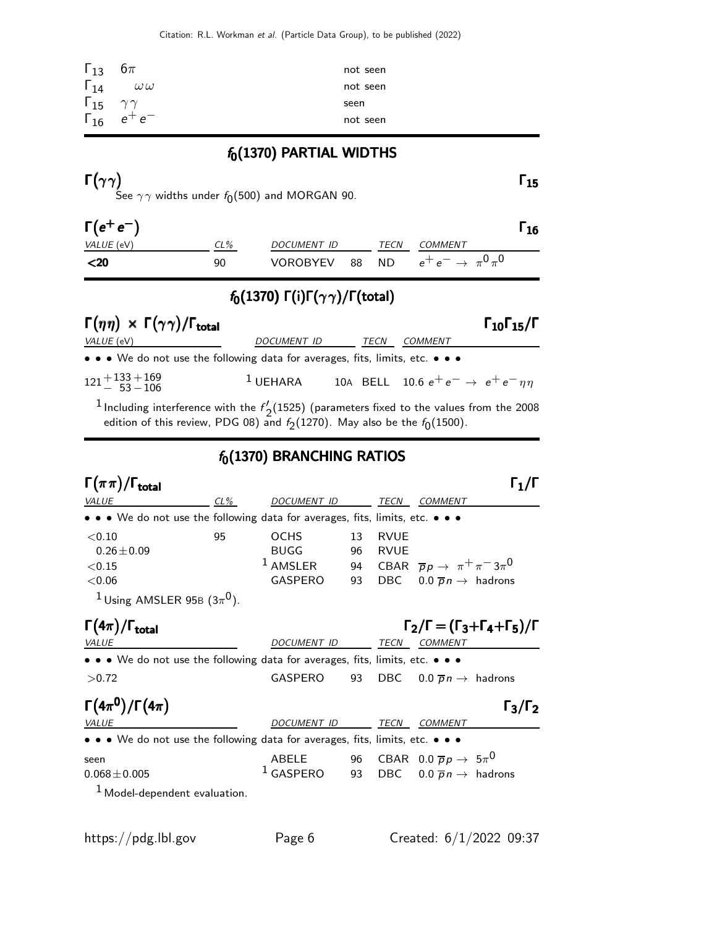| $\Gamma_{13}$                | $6\pi$                 | not seen |
|------------------------------|------------------------|----------|
| $\Gamma_{14}$                | $\omega\omega$         | not seen |
| $\Gamma_{15}$ $\gamma\gamma$ |                        | seen     |
|                              | $\Gamma_{16}$ $e^+e^-$ | not seen |

 $f_0(1370)$  PARTIAL WIDTHS

Γ $(γγ)$  Γ $_15$ See  $\gamma\gamma$  widths under  $f_{\mathbf{0}}(500)$  and MORGAN 90.

| $\Gamma(e^+e^-)$ |        |                    |      |                                       | 16 |
|------------------|--------|--------------------|------|---------------------------------------|----|
| VALUE (eV)       | $CL\%$ | <i>DOCUMENT ID</i> | TECN | COMMENT                               |    |
| $20$             | 90     | <b>VOROBYEV</b>    |      | 88 ND $e^+e^- \rightarrow \pi^0\pi^0$ |    |

### $f_0(1370)$  Γ(i)Γ( $\gamma\gamma$ )/Γ(total)

| $\Gamma(\eta\eta) \times \Gamma(\gamma\gamma) / \Gamma_{\text{total}}$        | $\Gamma_{10}\Gamma_{15}/\Gamma$ |      |                                                   |  |
|-------------------------------------------------------------------------------|---------------------------------|------|---------------------------------------------------|--|
| <i>VALUE</i> (eV)                                                             | DOCUMENT ID                     | TECN | COMMENT                                           |  |
| • • • We do not use the following data for averages, fits, limits, etc. • • • |                                 |      |                                                   |  |
| $121 + 133 + 169$<br>$-53 - 106$                                              | $^1$ UEHARA                     |      | 10A BELL 10.6 $e^+e^- \rightarrow e^+e^-\eta\eta$ |  |
|                                                                               |                                 |      |                                                   |  |

 $^1$  Including interference with the  $f'$ .  $\frac{2}{2}$ (1525) (parameters fixed to the values from the 2008 edition of this review, PDG 08) and  $f_2(1270)$ . May also be the  $f_0(1500)$ .

### $f_0(1370)$  BRANCHING RATIOS

| $\Gamma(\pi\pi)/\Gamma_{\rm total}$                                                                                                  |    |                                                                              |                |                            |                                                                                                      |                                                             |
|--------------------------------------------------------------------------------------------------------------------------------------|----|------------------------------------------------------------------------------|----------------|----------------------------|------------------------------------------------------------------------------------------------------|-------------------------------------------------------------|
| $CL\%$<br><b>VALUE</b>                                                                                                               |    | <b>DOCUMENT ID</b>                                                           |                | TECN                       | COMMENT                                                                                              |                                                             |
| • • • We do not use the following data for averages, fits, limits, etc. • • •                                                        |    |                                                                              |                |                            |                                                                                                      |                                                             |
| < 0.10<br>$0.26 \pm 0.09$<br>${<}0.15$<br>< 0.06<br><sup>1</sup> Using AMSLER 95B $(3\pi^0)$ .                                       | 95 | <b>OCHS</b><br><b>BUGG</b><br>$1$ AMSLER<br>GASPERO                          | 13<br>96<br>93 | <b>RVUE</b><br><b>RVUE</b> | 94 CBAR $\overline{p}p \rightarrow \pi^+\pi^-3\pi^0$<br>DBC $0.0 \overline{p} n \rightarrow$ hadrons |                                                             |
| $\Gamma(4\pi)/\Gamma_{\rm total}$<br><i>VALUE</i>                                                                                    |    | DOCUMENT ID                                                                  |                |                            | TECN COMMENT                                                                                         | $\Gamma_2/\Gamma = (\Gamma_3 + \Gamma_4 + \Gamma_5)/\Gamma$ |
| • • • We do not use the following data for averages, fits, limits, etc. • • •                                                        |    |                                                                              |                |                            |                                                                                                      |                                                             |
| >0.72                                                                                                                                |    | GASPERO                                                                      | 93             | DBC.                       | $0.0 \overline{p} n \rightarrow$ hadrons                                                             |                                                             |
| $\Gamma(4\pi^0)/\Gamma(4\pi)$<br><b>VALUE</b>                                                                                        |    | DOCUMENT ID                                                                  |                | TECN                       | COMMENT                                                                                              | $\Gamma_3/\Gamma_2$                                         |
| $\bullet\,\bullet\,\bullet\,$ We do not use the following data for averages, fits, limits, etc. $\bullet\,\bullet\,\bullet\,\bullet$ |    |                                                                              |                |                            |                                                                                                      |                                                             |
| seen<br>$0.068 + 0.005$<br>$1$ Model-dependent evaluation.                                                                           |    | ABELE<br><sup>1</sup> GASPERO 93 DBC $0.0 \overline{p}n \rightarrow$ hadrons |                |                            | 96 CBAR 0.0 $\overline{p} \, p \, \rightarrow \, \, 5 \pi^0$                                         |                                                             |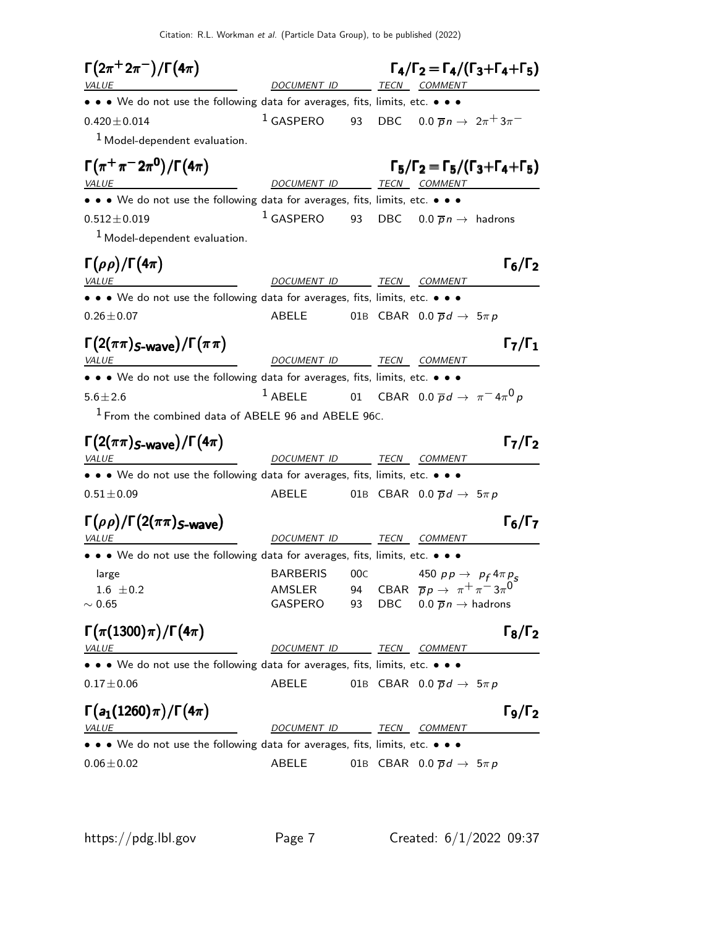Citation: R.L. Workman et al. (Particle Data Group), to be published (2022)

 $\Gamma(2\pi^+ 2\pi^-)/\Gamma(4\pi)$  $\Gamma(2\pi^+ 2\pi^-)/\Gamma(4\pi)$   $\Gamma_4/\Gamma_2 = \Gamma_4/(\Gamma_3 + \Gamma_4 + \Gamma_5)$ DOCUMENT ID TECN COMMENT • • • We do not use the following data for averages, fits, limits, etc. • • •  $0.420 \pm 0.014$  1 GASPERO 93 DBC  $0.0 \bar{p} n \to 2\pi + 3\pi$  $<sup>1</sup>$  Model-dependent evaluation.</sup>  $\Gamma(\pi^+\pi^-2\pi^0)/\Gamma(4\pi)$  $\Gamma(\pi^+\pi^- 2\pi^0)/\Gamma(4\pi)$  Γ<sub>5</sub>/Γ<sub>2</sub> = Γ<sub>5</sub>/(Γ<sub>3</sub>+Γ<sub>4</sub>+Γ<sub>5</sub>) VALUE COMMENT DOCUMENT ID TECN COMMENT • • • We do not use the following data for averages, fits, limits, etc. • • •  $0.512 \pm 0.019$  1 GASPERO 93 DBC  $0.0 \overline{p} n \rightarrow$  hadrons 1 Model-dependent evaluation.  $\Gamma(\rho\rho)/\Gamma(4\pi)$  Γ<sub>6</sub>/Γ<sub>2</sub>  $4\pi$ ) Γ<sub>6</sub>/Γ VALUE DOCUMENT ID TECN COMMENT • • • We do not use the following data for averages, fits, limits, etc. • • •  $0.26 \pm 0.07$  ABELE 01B CBAR  $0.0 \overline{p}d \rightarrow 5\pi p$  $\Gamma(2(\pi\pi)_{S-\textsf{wave}})/\Gamma(\pi\pi)$ VALUE COMMENT DOCUMENT ID TECN COMMENT • • • We do not use the following data for averages, fits, limits, etc. • • •  $5.6 \pm 2.6$ <sup>1</sup> ABELE 01 CBAR 0.0  $\overline{p}d \rightarrow \pi^{-} 4\pi^{0}p$  $1$  From the combined data of ABELE 96 and ABELE 96C.  $\Gamma(2(\pi\pi)_{S\text{-wave}})/\Gamma(4\pi)$  Γ<sub>7</sub>/Γ<sub>2</sub>  $\Gamma_7/\Gamma_2$ VALUE **ALUE DOCUMENT ID TECN COMMENT** • • • We do not use the following data for averages, fits, limits, etc. • • •  $0.51 \pm 0.09$  ABELE 01B CBAR  $0.0 \overline{p} d \rightarrow 5 \pi p$  $\Gamma(\rho\rho)/\Gamma(2(\pi\pi)_{\mathsf{S}\text{-}\mathsf{wave}})$  Γ<sub>6</sub>/Γ<sub>7</sub> VALUE DOCUMENT ID TECN COMMENT • • • We do not use the following data for averages, fits, limits, etc. • • • large BARBERIS 00C 450 pp  $\rightarrow$  p<sub>f</sub> 4 $\pi$  p<sub>s</sub> 1.6  $\pm$ 0.2 AMSLER 94 CBAR  $\overline{p}p \rightarrow \pi^+\pi^-3\pi^0$  $~\sim 0.65$  GASPERO 93 DBC  $0.0\ \overline{p}n \to$  hadrons  $\Gamma(\pi(1300)\pi)/\Gamma(4\pi)$  Γ<sub>8</sub>/Γ<sub>2</sub>  $\Gamma_8/\Gamma_2$ VALUE DOCUMENT ID TECN COMMENT • • • We do not use the following data for averages, fits, limits, etc. • • •  $0.17 \pm 0.06$  ABELE 01B CBAR  $0.0 \overline{p}d \rightarrow 5\pi p$  $\Gamma(a_1(1260)\pi)/\Gamma(4\pi)$  Γ<sub>9</sub>/Γ<sub>2</sub>  $\Gamma$ <sub>9</sub>/Γ<sub>2</sub> DOCUMENT ID TECN COMMENT • • • We do not use the following data for averages, fits, limits, etc. • • •  $0.06 \pm 0.02$   $ABELE$   $0.1B$  CBAR  $0.0 \overline{p}d \rightarrow 5\pi p$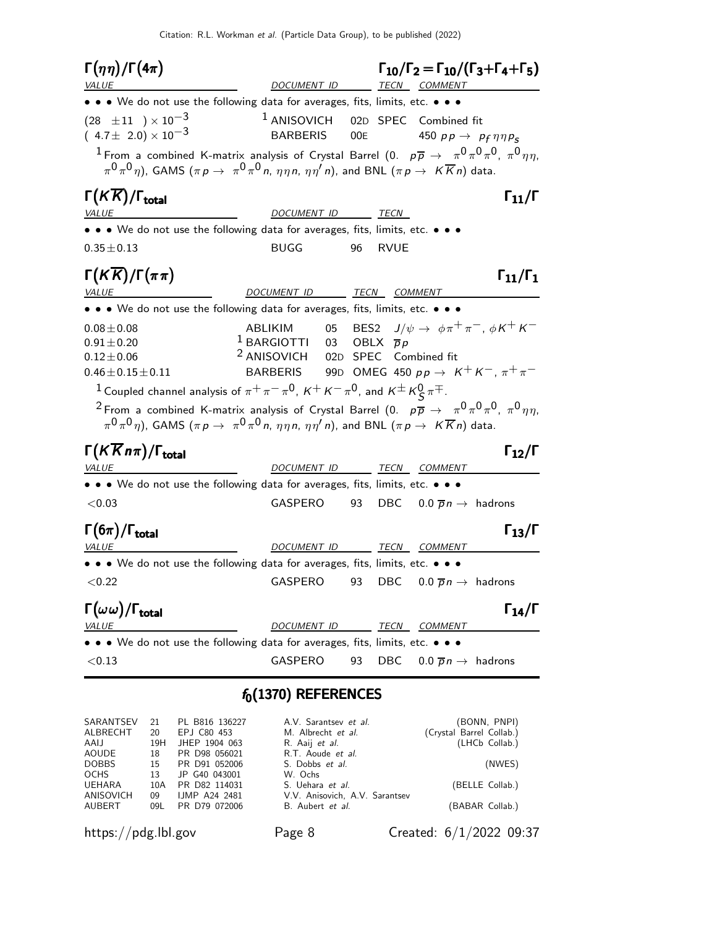$\Gamma(\eta\eta)/\Gamma(4\pi)$ Γ(ηη)/Γ(4π)  $\Gamma_{10}/\Gamma_2 = \Gamma_{10}/(\Gamma_3 + \Gamma_4 + \Gamma_5)$ DOCUMENT ID TECN COMMENT • • • We do not use the following data for averages, fits, limits, etc. • • •  $(28 \pm 11) \times 10^{-3}$  1 ANISOVICH 02D SPEC Combined fit  $(4.7 \pm 2.0) \times 10^{-3}$  BARBERIS 00E 450  $pp \rightarrow pp \eta \eta p_S$  $^1$  From a combined K-matrix analysis of Crystal Barrel (0.  $\,$   $\,p\overline{p}$   $\rightarrow$   $\,$   $\pi^0\pi^0\pi^0$ ,  $\pi^0\eta\eta,$  $\pi^0\pi^0\eta)$ , GAMS  $(\pi \,p\to\ \pi^0\pi^0\,$ n,  $\eta\eta\,\eta,\ \eta\eta'\,$ n), and BNL  $(\pi\,p\to\ K\overline{K}\,$ n) data. Γ $(K\overline{K})/\Gamma_{\text{total}}$  Γ<sub>11</sub>/Γ )/Γ<sub>total</sub> $Γ_{11}/Γ$ VALUE DOCUMENT ID TECN • • • We do not use the following data for averages, fits, limits, etc. • • •  $0.35 \pm 0.13$  BUGG 96 RVUE  $\Gamma(K\overline{K})/\Gamma(\pi\pi)$  Γ<sub>11</sub>/Γ<sub>1</sub>  $\Gamma_{11}/\Gamma_1$ VALUE DOCUMENT ID TECN COMMENT • • • We do not use the following data for averages, fits, limits, etc. • • •  $0.08\pm0.08$  ABLIKIM 05 BES2  $J/\psi \rightarrow \phi \pi^+ \pi^-$ ,  $\phi K^+ K^ 0.91 \pm 0.20$  1 BARGIOTTI 03 OBLX  $\overline{p}p$  $0.12 \pm 0.06$  2 ANISOVICH 02D SPEC Combined fit  $0.46 \pm 0.15 \pm 0.11$  BARBERIS 99D OMEG 450  $p \rightarrow K^+ K^-$ ,  $\pi^+ \pi^ 1$  Coupled channel analysis of  $\pi^+\pi^-\pi^0$ ,  $\kappa^+\kappa^-\pi^0$ , and  $\kappa^\pm\kappa^0_S\pi^\mp$ .  $^2$  From a combined K-matrix analysis of Crystal Barrel (0.  $\,\overline{\rho\,\overline{\rho}}\,\to\,\,\pi^0\pi^0\pi^0$ ,  $\pi^0\eta\eta,$  $\pi^0\pi^0\eta)$ , GAMS  $(\pi \, p \, \to \, \, \pi^0\pi^0\,$ n,  $\eta\eta\eta$ n,  $\eta\eta'\,$ n), and BNL  $(\pi \, p \, \to \, \, K\overline{K}\,$ n) data. Γ $(K\overline{K}n\pi)/\Gamma_{\text{total}}$  Γ<sub>12</sub>/Γ Γ $(K\overline{K}n\pi)/\Gamma_{\text{total}}$  Γ $_{12}/\Gamma$ /Γ $_{\rm total}$  Γ $_{12}/$  Γ DOCUMENT ID TECN COMMENT • • • We do not use the following data for averages, fits, limits, etc. • • •  $<$ 0.03 GASPERO 93 DBC 0.0  $\overline{p}n \rightarrow$  hadrons Γ $(6\pi)/\Gamma_{\text{total}}$ Γ VALUE **A COMMENT ID** TECN COMMENT • • • We do not use the following data for averages, fits, limits, etc. • • •  $\langle 0.22 \rangle$  GASPERO 93 DBC  $0.0 \overline{p} n \rightarrow$  hadrons Γ $(\omega \omega)/$ Γ<sub>total</sub> Γ /Γ $_{\rm total}$  Γ $_{14}$ /Γ VALUE **A COMMENT ID** TECN COMMENT • • • We do not use the following data for averages, fits, limits, etc. • • •  $<$ 0.13 GASPERO 93 DBC 0.0  $\overline{p}n \rightarrow$  hadrons  $f_0(1370)$  REFERENCES

#### SARANTSEV 21 PL B816 136227 A.V. Sarantsev et al. (BONN, PNPI)<br>ALBRECHT 20 EPJ C80 453 M. Albrecht et al. (Crystal Barrel Collab.) 20 EPJ C80 453 M. Albrecht *et al.* (Crystal Barrel Collab.)<br>19H JHEP 1904 063 R. Aaij *et al.* (LHCb Collab.) AAIJ 19H JHEP 1904 063 R. Aaij et al. (LHCb Collab.)<br>AOUDE 18 PR D98 056021 R.T. Aoude et al. AOUDE 18 PR D98 056021 R.T. Aoude et al.<br>DOBBS 15 PR D91 052006 S. Dobbs et al. 15 PR D91 052006 S. Dobbs et al. (NWES) OCHS 13 JP G40 043001 W. Ochs<br>
UEHARA 10A PR D82 114031 S. Uehara et al. UEHARA 10A PR D82 114031 S. Uehara et al. (BELLE Collab.)<br>ANISOVICH 09 IJMP A24 2481 V.V. Anisovich, A.V. Sarantsev ANISOVICH 09 IJMP A24 2481 V.V. Anisovich, A.V. Sarantsev<br>AUBERT 09L PR D79 072006 B. Aubert et al. 09L PR D79 072006 B. Aubert et al. (BABAR Collab.)

https://pdg.lbl.gov Page 8 Created: 6/1/2022 09:37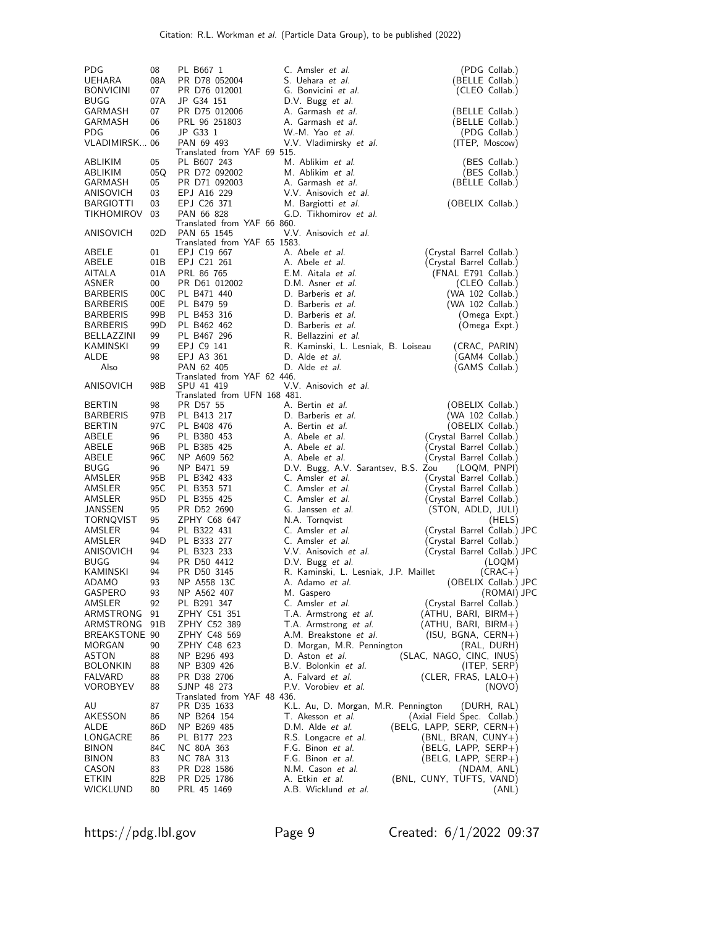| PDG<br>UEHARA<br><b>BONVICINI</b><br><b>BUGG</b> | 08<br>08A<br>07<br>07A | PL B667 1<br>PR D78 052004<br>PR D76 012001<br>JP G34 151                    | C. Amsler et al.<br>S. Uehara et al.<br>G. Bonvicini et al.<br>D.V. Bugg et al. | (PDG Collab.)<br>(BELLE Collab.)<br>(CLEO Collab.)                          |
|--------------------------------------------------|------------------------|------------------------------------------------------------------------------|---------------------------------------------------------------------------------|-----------------------------------------------------------------------------|
| GARMASH<br>GARMASH<br><b>PDG</b>                 | 07<br>06<br>06         | PR D75 012006<br>PRL 96 251803<br>JP G33 1                                   | A. Garmash et al.<br>A. Garmash et al.<br>W.-M. Yao et al.                      | (BELLE Collab.)<br>(BELLE Collab.)<br>(PDG Collab.)                         |
| VLADIMIRSK 06                                    |                        | PAN 69 493                                                                   | V.V. Vladimirsky et al.                                                         | (ITEP, Moscow)                                                              |
| ABLIKIM<br>ABLIKIM<br>GARMASH                    | 05<br>05Q<br>05        | Translated from YAF 69 515.<br>PL B607 243<br>PR D72 092002<br>PR D71 092003 | M. Ablikim et al.<br>M. Ablikim et al.<br>A. Garmash et al.                     | (BES Collab.)<br>(BES Collab.)<br>(BELLE Collab.)                           |
| ANISOVICH<br><b>BARGIOTTI</b><br>TIKHOMIROV      | 03<br>03<br>03         | EPJ A16 229<br>EPJ C26 371<br>PAN 66 828                                     | V.V. Anisovich et al.<br>M. Bargiotti et al.<br>G.D. Tikhomirov et al.          | (OBELIX Collab.)                                                            |
| ANISOVICH                                        | 02D                    | Translated from YAF 66 860.<br>PAN 65 1545<br>Translated from YAF 65 1583.   | V.V. Anisovich et al.                                                           |                                                                             |
| ABELE<br>ABELE<br>AITALA                         | 01<br>01B<br>01A       | EPJ C19 667<br>EPJ C21 261<br>PRL 86 765                                     | A. Abele <i>et al.</i><br>A. Abele <i>et al.</i><br>E.M. Aitala et al.          | (Crystal Barrel Collab.)<br>(Crystal Barrel Collab.)<br>(FNAL E791 Collab.) |
| ASNER<br><b>BARBERIS</b>                         | 00<br>00C              | PR D61 012002<br>PL B471 440                                                 | D.M. Asner et al.<br>D. Barberis et al.                                         | (CLEO Collab.)                                                              |
| <b>BARBERIS</b>                                  | 00E                    | PL B479 59                                                                   | D. Barberis et al.                                                              | (WA 102 Collab.)<br>(WA 102 Collab.)                                        |
| <b>BARBERIS</b>                                  | 99B                    | PL B453 316                                                                  | D. Barberis et al.                                                              | (Omega Expt.)                                                               |
| <b>BARBERIS</b><br>BELLAZZINI                    | 99D<br>99              | PL B462 462<br>PL B467 296                                                   | D. Barberis et al.<br>R. Bellazzini et al.                                      | (Omega Expt.)                                                               |
| KAMINSKI                                         | 99                     | EPJ C9 141                                                                   | R. Kaminski, L. Lesniak, B. Loiseau                                             | (CRAC, PARIN)                                                               |
| ALDE                                             | 98                     | EPJ A3 361                                                                   | D. Alde et al.<br>D. Alde et al.                                                | (GAM4 Collab.)                                                              |
| Also                                             |                        | PAN 62 405<br>Translated from YAF 62 446.                                    |                                                                                 | (GAMS Collab.)                                                              |
| ANISOVICH                                        | 98B                    | SPU 41 419<br>Translated from UFN 168 481.                                   | V.V. Anisovich et al.                                                           |                                                                             |
| <b>BERTIN</b>                                    | 98                     | PR D57 55                                                                    | A. Bertin et al.                                                                | (OBELIX Collab.)                                                            |
| <b>BARBERIS</b><br><b>BERTIN</b>                 | 97B<br>97C             | PL B413 217<br>PL B408 476                                                   | D. Barberis et al.<br>A. Bertin et al.                                          | (WA 102 Collab.)<br>(OBELIX Collab.)                                        |
| ABELE                                            | 96                     | PL B380 453                                                                  | A. Abele <i>et al.</i>                                                          | (Crystal Barrel Collab.)                                                    |
| ABELE                                            | 96B                    | PL B385 425                                                                  | A. Abele <i>et al.</i>                                                          | (Crystal Barrel Collab.)                                                    |
| ABELE                                            | 96C<br>96              | NP A609 562                                                                  | A. Abele <i>et al.</i>                                                          | (Crystal Barrel Collab.)                                                    |
| BUGG<br>AMSLER                                   | 95B                    | NP B471 59<br>PL B342 433                                                    | D.V. Bugg, A.V. Sarantsev, B.S. Zou<br>C. Amsler et al.                         | (LOQM, PNPI)<br>(Crystal Barrel Collab.)                                    |
| AMSLER                                           | 95C                    | PL B353 571                                                                  | C. Amsler et al.                                                                | (Crystal Barrel Collab.)                                                    |
| AMSLER                                           | 95 <sub>D</sub>        | PL B355 425                                                                  | C. Amsler et al.                                                                | (Crystal Barrel Collab.)                                                    |
| JANSSEN<br>TORNQVIST                             | 95<br>95               | PR D52 2690<br>ZPHY C68 647                                                  | G. Janssen et al.<br>N.A. Tornqvist                                             | (STON, ADLD, JULI)<br>(HELS)                                                |
| AMSLER                                           | 94                     | PL B322 431                                                                  | C. Amsler et al.                                                                | (Crystal Barrel Collab.) JPC                                                |
| AMSLER                                           | 94D                    | PL B333 277                                                                  | C. Amsler et al.                                                                | (Crystal Barrel Collab.)                                                    |
| ANISOVICH                                        | 94                     | PL B323 233                                                                  | V.V. Anisovich et al.                                                           | (Crystal Barrel Collab.) JPC                                                |
| BUGG<br>KAMINSKI                                 | 94<br>94               | PR D50 4412<br>PR D50 3145                                                   | D.V. Bugg et al.<br>R. Kaminski, L. Lesniak, J.P. Maillet                       | (LOQM)<br>$(CRAC+)$                                                         |
| ADAMO                                            | 93                     | NP A558 13C                                                                  | A. Adamo <i>et al.</i>                                                          | (OBELIX Collab.) JPC                                                        |
| GASPERO                                          | 93                     | NP A562 407                                                                  | M. Gaspero                                                                      | (ROMAI) JPC                                                                 |
| AMSLER<br>ARMSTRONG                              | 92<br>91               | PL B291 347<br>ZPHY C51 351                                                  | C. Amsler et al.<br>T.A. Armstrong et al.                                       | (Crystal Barrel Collab.)<br>$(ATHU, BARI, BIRM+)$                           |
| ARMSTRONG                                        | 91B                    | ZPHY C52 389                                                                 | T.A. Armstrong et al.                                                           | $(ATHU, BARI, BIRM+)$                                                       |
| BREAKSTONE 90                                    |                        | ZPHY C48 569                                                                 | A.M. Breakstone et al.                                                          | $(ISU, BGNA, CERN+)$                                                        |
| MORGAN                                           | 90                     | ZPHY C48 623                                                                 | D. Morgan, M.R. Pennington                                                      | (RAL, DURH)                                                                 |
| ASTON<br><b>BOLONKIN</b>                         | 88<br>88               | NP B296 493<br>NP B309 426                                                   | D. Aston et al.<br>B.V. Bolonkin et al.                                         | (SLAC, NAGO, CINC, INUS)<br>(ITEP, SERP)                                    |
| FALVARD                                          | 88                     | PR D38 2706                                                                  | A. Falvard et al.                                                               | (CLER, FRAS, $LALO+$ )                                                      |
| VOROBYEV                                         | 88                     | SJNP 48 273<br>Translated from YAF 48 436.                                   | P.V. Vorobiev <i>et al.</i>                                                     | (NOVO)                                                                      |
| AU                                               | 87                     | PR D35 1633                                                                  | K.L. Au, D. Morgan, M.R. Pennington                                             | (DURH, RAL)                                                                 |
| AKESSON<br>ALDE                                  | 86<br>86D              | NP B264 154<br>NP B269 485                                                   | T. Akesson et al.<br>D.M. Alde et al.                                           | (Axial Field Spec. Collab.)<br>(BELG, LAPP, SERP, CERN+)                    |
| LONGACRE                                         | 86                     | PL B177 223                                                                  | R.S. Longacre et al.                                                            | (BNL, BRAN, CUNY+)                                                          |
| <b>BINON</b>                                     | 84C                    | NC 80A 363                                                                   | F.G. Binon et al.                                                               | (BELG, LAPP, SERP+)                                                         |
| BINON                                            | 83                     | NC 78A 313                                                                   | F.G. Binon et al.                                                               | $(BELG, LAPP, SERP+)$                                                       |
| CASON<br>ETKIN                                   | 83<br>82B              | PR D28 1586<br>PR D25 1786                                                   | N.M. Cason et al.<br>A. Etkin <i>et al.</i>                                     | (NDAM, ANL)<br>(BNL, CUNY, TUFTS, VAND)                                     |
| WICKLUND                                         | 80                     | PRL 45 1469                                                                  | A.B. Wicklund et al.                                                            | (ANL)                                                                       |